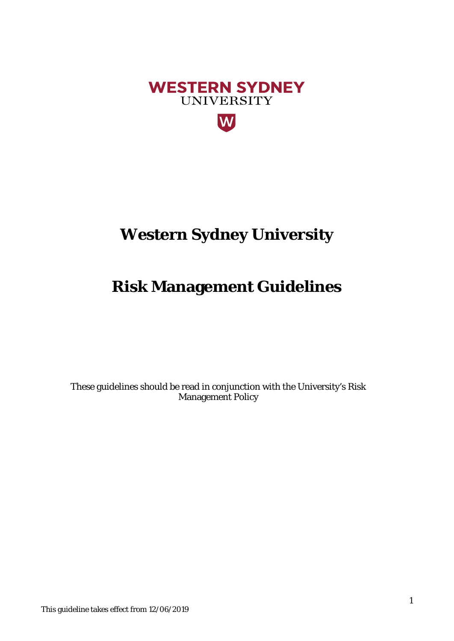

# **Western Sydney University**

# **Risk Management Guidelines**

These guidelines should be read in conjunction with the University's Risk Management Policy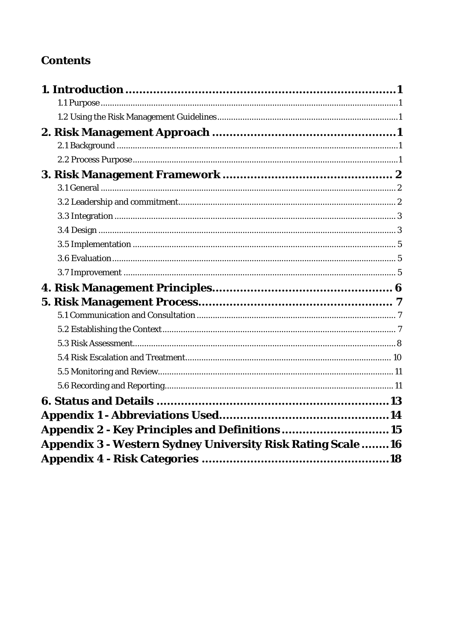## **Contents**

| Appendix 2 - Key Principles and Definitions 15                     |  |
|--------------------------------------------------------------------|--|
| <b>Appendix 3 - Western Sydney University Risk Rating Scale 16</b> |  |
|                                                                    |  |
|                                                                    |  |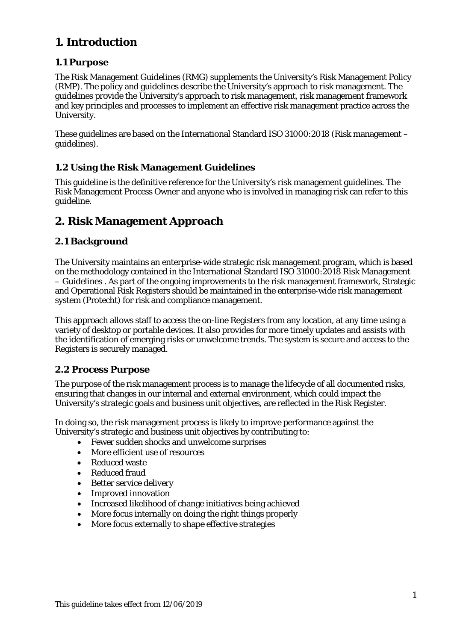## <span id="page-2-0"></span>**1. Introduction**

### <span id="page-2-1"></span>**1.1 Purpose**

The Risk Management Guidelines (RMG) supplements the University's Risk Management Policy (RMP). The policy and guidelines describe the University's approach to risk management. The guidelines provide the University's approach to risk management, risk management framework and key principles and processes to implement an effective risk management practice across the University.

These guidelines are based on the International Standard ISO 31000:2018 (Risk management – guidelines).

## <span id="page-2-2"></span>**1.2 Using the Risk Management Guidelines**

This guideline is the definitive reference for the University's risk management guidelines. The Risk Management Process Owner and anyone who is involved in managing risk can refer to this guideline.

## <span id="page-2-3"></span>**2. Risk Management Approach**

### <span id="page-2-4"></span>**2.1 Background**

The University maintains an enterprise-wide strategic risk management program, which is based on the methodology contained in the International Standard ISO 31000:2018 Risk Management – Guidelines . As part of the ongoing improvements to the risk management framework, Strategic and Operational Risk Registers should be maintained in the enterprise-wide risk management system (Protecht) for risk and compliance management.

This approach allows staff to access the on-line Registers from any location, at any time using a variety of desktop or portable devices. It also provides for more timely updates and assists with the identification of emerging risks or unwelcome trends. The system is secure and access to the Registers is securely managed.

### <span id="page-2-5"></span>**2.2 Process Purpose**

The purpose of the risk management process is to manage the lifecycle of all documented risks, ensuring that changes in our internal and external environment, which could impact the University's strategic goals and business unit objectives, are reflected in the Risk Register.

In doing so, the risk management process is likely to improve performance against the University's strategic and business unit objectives by contributing to:

- Fewer sudden shocks and unwelcome surprises
- More efficient use of resources
- Reduced waste
- Reduced fraud
- Better service delivery
- Improved innovation
- Increased likelihood of change initiatives being achieved
- More focus internally on doing the right things properly
- More focus externally to shape effective strategies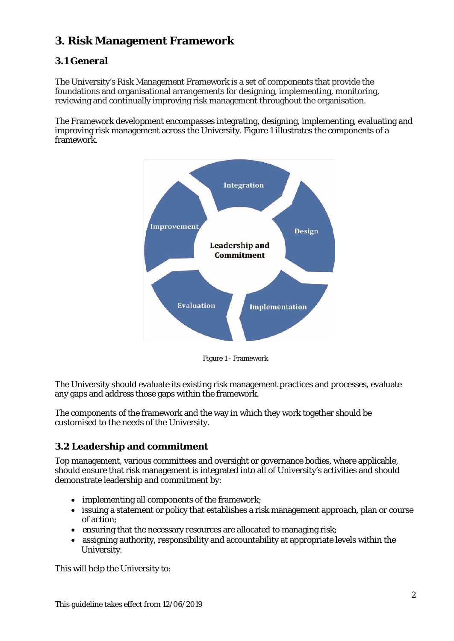## <span id="page-3-0"></span>**3. Risk Management Framework**

### <span id="page-3-1"></span>**3.1 General**

The University's Risk Management Framework is a set of components that provide the foundations and organisational arrangements for designing, implementing, monitoring, reviewing and continually improving risk management throughout the organisation.

The Framework development encompasses integrating, designing, implementing, evaluating and improving risk management across the University. Figure 1 illustrates the components of a framework.



Figure 1 - Framework

The University should evaluate its existing risk management practices and processes, evaluate any gaps and address those gaps within the framework.

The components of the framework and the way in which they work together should be customised to the needs of the University.

### <span id="page-3-2"></span>**3.2 Leadership and commitment**

Top management, various committees and oversight or governance bodies, where applicable, should ensure that risk management is integrated into all of University's activities and should demonstrate leadership and commitment by:

- implementing all components of the framework;
- issuing a statement or policy that establishes a risk management approach, plan or course of action;
- ensuring that the necessary resources are allocated to managing risk;
- assigning authority, responsibility and accountability at appropriate levels within the University.

This will help the University to: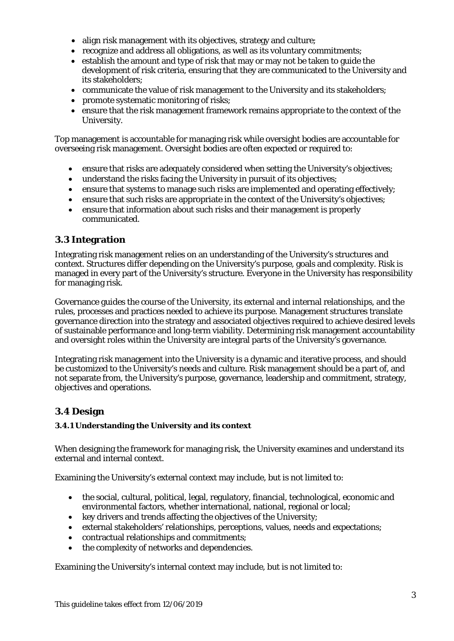- align risk management with its objectives, strategy and culture;
- recognize and address all obligations, as well as its voluntary commitments;
- establish the amount and type of risk that may or may not be taken to guide the development of risk criteria, ensuring that they are communicated to the University and its stakeholders;
- communicate the value of risk management to the University and its stakeholders;
- promote systematic monitoring of risks;
- ensure that the risk management framework remains appropriate to the context of the University.

Top management is accountable for managing risk while oversight bodies are accountable for overseeing risk management. Oversight bodies are often expected or required to:

- ensure that risks are adequately considered when setting the University's objectives;
- understand the risks facing the University in pursuit of its objectives;
- ensure that systems to manage such risks are implemented and operating effectively;
- ensure that such risks are appropriate in the context of the University's objectives;
- ensure that information about such risks and their management is properly communicated.

#### <span id="page-4-0"></span>**3.3 Integration**

Integrating risk management relies on an understanding of the University's structures and context. Structures differ depending on the University's purpose, goals and complexity. Risk is managed in every part of the University's structure. Everyone in the University has responsibility for managing risk.

Governance guides the course of the University, its external and internal relationships, and the rules, processes and practices needed to achieve its purpose. Management structures translate governance direction into the strategy and associated objectives required to achieve desired levels of sustainable performance and long-term viability. Determining risk management accountability and oversight roles within the University are integral parts of the University's governance.

Integrating risk management into the University is a dynamic and iterative process, and should be customized to the University's needs and culture. Risk management should be a part of, and not separate from, the University's purpose, governance, leadership and commitment, strategy, objectives and operations.

### <span id="page-4-1"></span>**3.4 Design**

#### **3.4.1 Understanding the University and its context**

When designing the framework for managing risk, the University examines and understand its external and internal context.

Examining the University's external context may include, but is not limited to:

- the social, cultural, political, legal, regulatory, financial, technological, economic and environmental factors, whether international, national, regional or local;
- key drivers and trends affecting the objectives of the University;
- external stakeholders' relationships, perceptions, values, needs and expectations;
- contractual relationships and commitments;
- the complexity of networks and dependencies.

Examining the University's internal context may include, but is not limited to: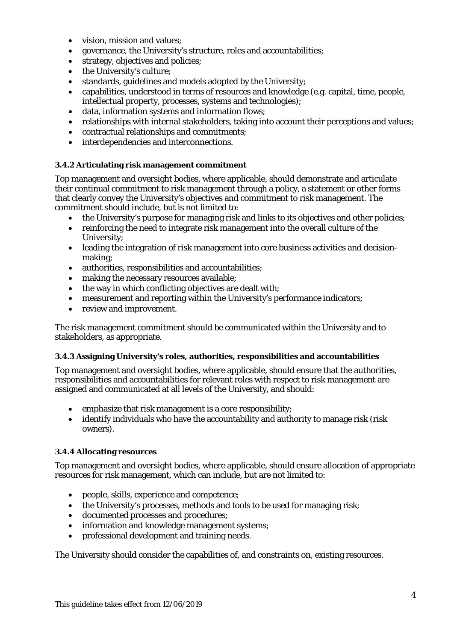- vision, mission and values:
- governance, the University's structure, roles and accountabilities;
- strategy, objectives and policies;
- the University's culture;
- standards, guidelines and models adopted by the University;
- capabilities, understood in terms of resources and knowledge (e.g. capital, time, people, intellectual property, processes, systems and technologies);
- data, information systems and information flows;
- relationships with internal stakeholders, taking into account their perceptions and values;
- contractual relationships and commitments;
- interdependencies and interconnections.

#### **3.4.2 Articulating risk management commitment**

Top management and oversight bodies, where applicable, should demonstrate and articulate their continual commitment to risk management through a policy, a statement or other forms that clearly convey the University's objectives and commitment to risk management. The commitment should include, but is not limited to:

- the University's purpose for managing risk and links to its objectives and other policies;
- reinforcing the need to integrate risk management into the overall culture of the University;
- leading the integration of risk management into core business activities and decisionmaking;
- authorities, responsibilities and accountabilities;
- making the necessary resources available;
- the way in which conflicting objectives are dealt with;
- measurement and reporting within the University's performance indicators;
- review and improvement.

The risk management commitment should be communicated within the University and to stakeholders, as appropriate.

#### **3.4.3 Assigning University's roles, authorities, responsibilities and accountabilities**

Top management and oversight bodies, where applicable, should ensure that the authorities, responsibilities and accountabilities for relevant roles with respect to risk management are assigned and communicated at all levels of the University, and should:

- emphasize that risk management is a core responsibility;
- identify individuals who have the accountability and authority to manage risk (risk owners).

#### **3.4.4 Allocating resources**

Top management and oversight bodies, where applicable, should ensure allocation of appropriate resources for risk management, which can include, but are not limited to:

- people, skills, experience and competence;
- the University's processes, methods and tools to be used for managing risk;
- documented processes and procedures;
- information and knowledge management systems;
- professional development and training needs.

The University should consider the capabilities of, and constraints on, existing resources.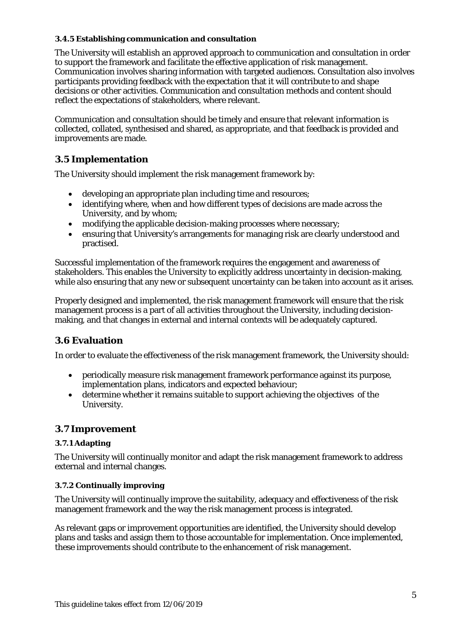#### **3.4.5 Establishing communication and consultation**

The University will establish an approved approach to communication and consultation in order to support the framework and facilitate the effective application of risk management. Communication involves sharing information with targeted audiences. Consultation also involves participants providing feedback with the expectation that it will contribute to and shape decisions or other activities. Communication and consultation methods and content should reflect the expectations of stakeholders, where relevant.

Communication and consultation should be timely and ensure that relevant information is collected, collated, synthesised and shared, as appropriate, and that feedback is provided and improvements are made.

### <span id="page-6-0"></span>**3.5 Implementation**

The University should implement the risk management framework by:

- developing an appropriate plan including time and resources;
- identifying where, when and how different types of decisions are made across the University, and by whom;
- modifying the applicable decision-making processes where necessary;
- ensuring that University's arrangements for managing risk are clearly understood and practised.

Successful implementation of the framework requires the engagement and awareness of stakeholders. This enables the University to explicitly address uncertainty in decision-making, while also ensuring that any new or subsequent uncertainty can be taken into account as it arises.

Properly designed and implemented, the risk management framework will ensure that the risk management process is a part of all activities throughout the University, including decisionmaking, and that changes in external and internal contexts will be adequately captured.

#### <span id="page-6-1"></span>**3.6 Evaluation**

In order to evaluate the effectiveness of the risk management framework, the University should:

- periodically measure risk management framework performance against its purpose, implementation plans, indicators and expected behaviour;
- determine whether it remains suitable to support achieving the objectives of the University.

#### <span id="page-6-2"></span>**3.7 Improvement**

#### **3.7.1 Adapting**

The University will continually monitor and adapt the risk management framework to address external and internal changes.

#### **3.7.2 Continually improving**

The University will continually improve the suitability, adequacy and effectiveness of the risk management framework and the way the risk management process is integrated.

As relevant gaps or improvement opportunities are identified, the University should develop plans and tasks and assign them to those accountable for implementation. Once implemented, these improvements should contribute to the enhancement of risk management.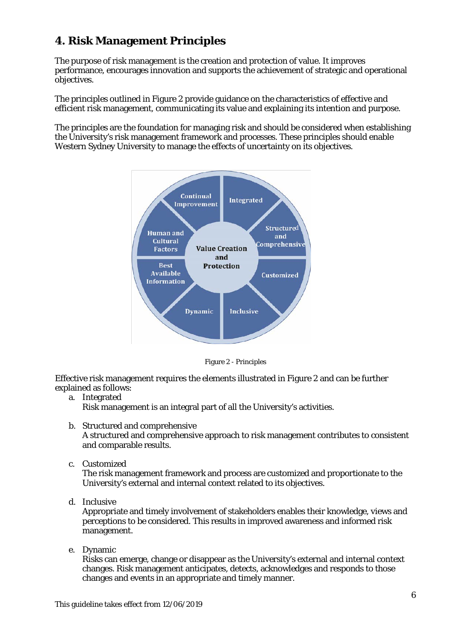## <span id="page-7-0"></span>**4. Risk Management Principles**

The purpose of risk management is the creation and protection of value. It improves performance, encourages innovation and supports the achievement of strategic and operational objectives.

The principles outlined in Figure 2 provide guidance on the characteristics of effective and efficient risk management, communicating its value and explaining its intention and purpose.

The principles are the foundation for managing risk and should be considered when establishing the University's risk management framework and processes. These principles should enable Western Sydney University to manage the effects of uncertainty on its objectives.



Figure 2 - Principles

Effective risk management requires the elements illustrated in Figure 2 and can be further explained as follows:

a. Integrated

Risk management is an integral part of all the University's activities.

b. Structured and comprehensive

A structured and comprehensive approach to risk management contributes to consistent and comparable results.

c. Customized

The risk management framework and process are customized and proportionate to the University's external and internal context related to its objectives.

d. Inclusive

Appropriate and timely involvement of stakeholders enables their knowledge, views and perceptions to be considered. This results in improved awareness and informed risk management.

e. Dynamic

Risks can emerge, change or disappear as the University's external and internal context changes. Risk management anticipates, detects, acknowledges and responds to those changes and events in an appropriate and timely manner.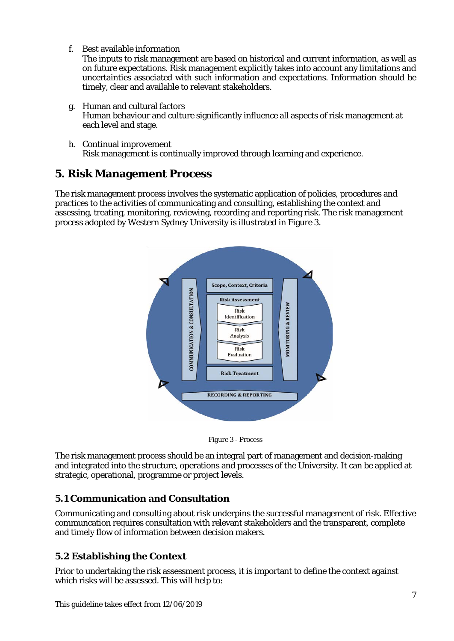f. Best available information

The inputs to risk management are based on historical and current information, as well as on future expectations. Risk management explicitly takes into account any limitations and uncertainties associated with such information and expectations. Information should be timely, clear and available to relevant stakeholders.

- g. Human and cultural factors Human behaviour and culture significantly influence all aspects of risk management at each level and stage.
- h. Continual improvement Risk management is continually improved through learning and experience.

## <span id="page-8-0"></span>**5. Risk Management Process**

The risk management process involves the systematic application of policies, procedures and practices to the activities of communicating and consulting, establishing the context and assessing, treating, monitoring, reviewing, recording and reporting risk. The risk management process adopted by Western Sydney University is illustrated in Figure 3.



Figure 3 - Process

The risk management process should be an integral part of management and decision-making and integrated into the structure, operations and processes of the University. It can be applied at strategic, operational, programme or project levels.

## <span id="page-8-1"></span>**5.1 Communication and Consultation**

Communicating and consulting about risk underpins the successful management of risk. Effective communcation requires consultation with relevant stakeholders and the transparent, complete and timely flow of information between decision makers.

## <span id="page-8-2"></span>**5.2 Establishing the Context**

Prior to undertaking the risk assessment process, it is important to define the context against which risks will be assessed. This will help to: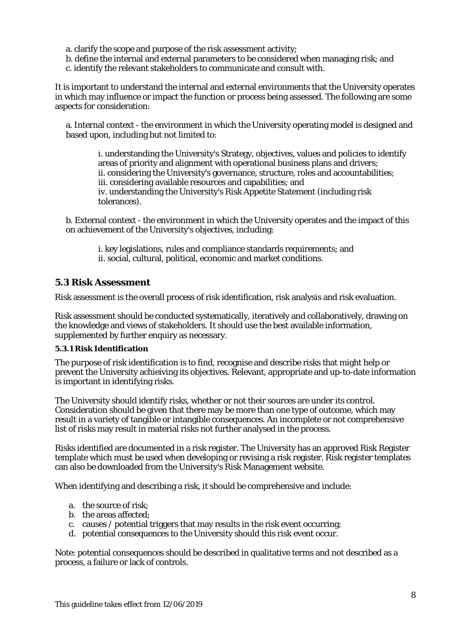- a. clarify the scope and purpose of the risk assessment activity;
- b. define the internal and external parameters to be considered when managing risk; and
- c. identify the relevant stakeholders to communicate and consult with.

It is important to understand the internal and external environments that the University operates in which may influence or impact the function or process being assessed. The following are some aspects for consideration:

a. Internal context - the environment in which the University operating model is designed and based upon, including but not limited to:

i. understanding the University's Strategy, objectives, values and policies to identify areas of priority and alignment with operational business plans and drivers; ii. considering the University's governance, structure, roles and accountabilities; iii. considering available resources and capabilities; and iv. understanding the University's Risk Appetite Statement (including risk tolerances).

b. External context - the environment in which the University operates and the impact of this on achievement of the University's objectives, including:

i. key legislations, rules and compliance standards requirements; and ii. social, cultural, political, economic and market conditions.

#### <span id="page-9-0"></span>**5.3 Risk Assessment**

Risk assessment is the overall process of risk identification, risk analysis and risk evaluation.

Risk assessment should be conducted systematically, iteratively and collaboratively, drawing on the knowledge and views of stakeholders. It should use the best available information, supplemented by further enquiry as necessary.

#### **5.3.1 Risk Identification**

The purpose of risk identification is to find, recognise and describe risks that might help or prevent the University achieiving its objectives. Relevant, appropriate and up-to-date information is important in identifying risks.

The University should identify risks, whether or not their sources are under its control. Consideration should be given that there may be more than one type of outcome, which may result in a variety of tangible or intangible consequences. An incomplete or not comprehensive list of risks may result in material risks not further analysed in the process.

Risks identified are documented in a risk register. The University has an approved Risk Register template which must be used when developing or revising a risk register. Risk register templates can also be downloaded from the University's Risk Management website.

When identifying and describing a risk, it should be comprehensive and include:

- a. the source of risk;
- b. the areas affected;
- c. causes / potential triggers that may results in the risk event occurring;
- d. potential consequences to the University should this risk event occur.

Note: potential consequences should be described in qualitative terms and not described as a process, a failure or lack of controls.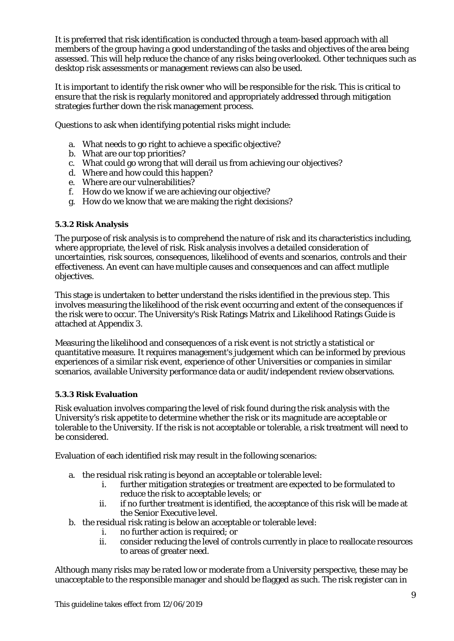It is preferred that risk identification is conducted through a team-based approach with all members of the group having a good understanding of the tasks and objectives of the area being assessed. This will help reduce the chance of any risks being overlooked. Other techniques such as desktop risk assessments or management reviews can also be used.

It is important to identify the risk owner who will be responsible for the risk. This is critical to ensure that the risk is regularly monitored and appropriately addressed through mitigation strategies further down the risk management process.

Questions to ask when identifying potential risks might include:

- a. What needs to go right to achieve a specific objective?
- b. What are our top priorities?
- c. What could go wrong that will derail us from achieving our objectives?
- d. Where and how could this happen?
- e. Where are our vulnerabilities?
- f. How do we know if we are achieving our objective?
- g. How do we know that we are making the right decisions?

#### **5.3.2 Risk Analysis**

The purpose of risk analysis is to comprehend the nature of risk and its characteristics including, where appropriate, the level of risk. Risk analysis involves a detailed consideration of uncertainties, risk sources, consequences, likelihood of events and scenarios, controls and their effectiveness. An event can have multiple causes and consequences and can affect mutliple objectives.

This stage is undertaken to better understand the risks identified in the previous step. This involves measuring the likelihood of the risk event occurring and extent of the consequences if the risk were to occur. The University's Risk Ratings Matrix and Likelihood Ratings Guide is attached at Appendix 3.

Measuring the likelihood and consequences of a risk event is not strictly a statistical or quantitative measure. It requires management's judgement which can be informed by previous experiences of a similar risk event, experience of other Universities or companies in similar scenarios, available University performance data or audit/independent review observations.

#### **5.3.3 Risk Evaluation**

Risk evaluation involves comparing the level of risk found during the risk analysis with the University's risk appetite to determine whether the risk or its magnitude are acceptable or tolerable to the University. If the risk is not acceptable or tolerable, a risk treatment will need to be considered.

Evaluation of each identified risk may result in the following scenarios:

- a. the residual risk rating is beyond an acceptable or tolerable level:
	- i. further mitigation strategies or treatment are expected to be formulated to reduce the risk to acceptable levels; or
	- ii. if no further treatment is identified, the acceptance of this risk will be made at the Senior Executive level.
- b. the residual risk rating is below an acceptable or tolerable level:
	- i. no further action is required; or
	- ii. consider reducing the level of controls currently in place to reallocate resources to areas of greater need.

Although many risks may be rated low or moderate from a University perspective, these may be unacceptable to the responsible manager and should be flagged as such. The risk register can in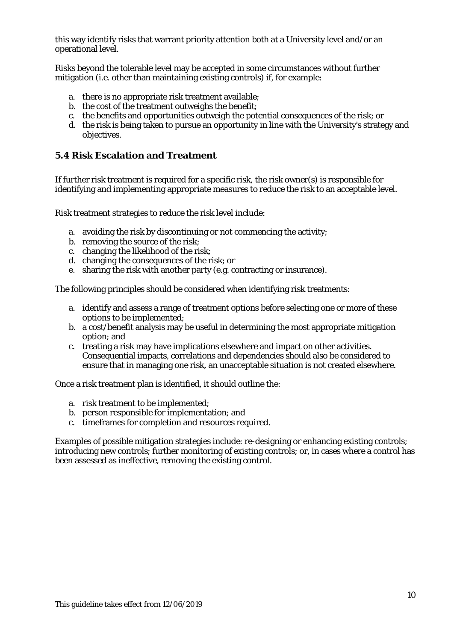this way identify risks that warrant priority attention both at a University level and/or an operational level.

Risks beyond the tolerable level may be accepted in some circumstances without further mitigation (i.e. other than maintaining existing controls) if, for example:

- a. there is no appropriate risk treatment available;
- b. the cost of the treatment outweighs the benefit;
- c. the benefits and opportunities outweigh the potential consequences of the risk; or
- d. the risk is being taken to pursue an opportunity in line with the University's strategy and objectives.

#### <span id="page-11-0"></span>**5.4 Risk Escalation and Treatment**

If further risk treatment is required for a specific risk, the risk owner(s) is responsible for identifying and implementing appropriate measures to reduce the risk to an acceptable level.

Risk treatment strategies to reduce the risk level include:

- a. avoiding the risk by discontinuing or not commencing the activity;
- b. removing the source of the risk;
- c. changing the likelihood of the risk;
- d. changing the consequences of the risk; or
- e. sharing the risk with another party (e.g. contracting or insurance).

The following principles should be considered when identifying risk treatments:

- a. identify and assess a range of treatment options before selecting one or more of these options to be implemented;
- b. a cost/benefit analysis may be useful in determining the most appropriate mitigation option; and
- c. treating a risk may have implications elsewhere and impact on other activities. Consequential impacts, correlations and dependencies should also be considered to ensure that in managing one risk, an unacceptable situation is not created elsewhere.

Once a risk treatment plan is identified, it should outline the:

- a. risk treatment to be implemented;
- b. person responsible for implementation; and
- c. timeframes for completion and resources required.

Examples of possible mitigation strategies include: re-designing or enhancing existing controls; introducing new controls; further monitoring of existing controls; or, in cases where a control has been assessed as ineffective, removing the existing control.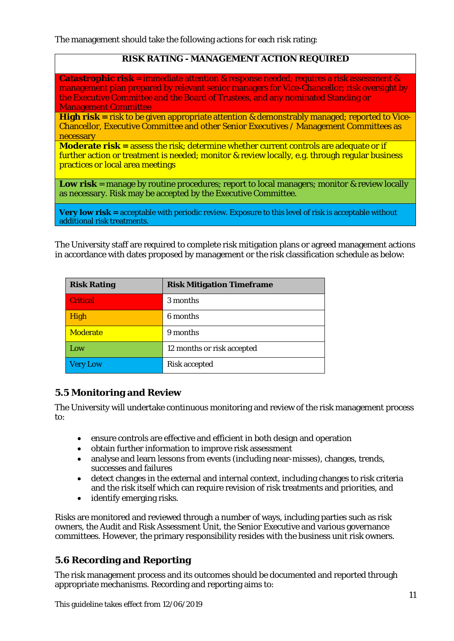The management should take the following actions for each risk rating:

#### **RISK RATING - MANAGEMENT ACTION REQUIRED**

**Catastrophic risk** = immediate attention & response needed; requires a risk assessment & management plan prepared by relevant senior managers for Vice-Chancellor; risk oversight by the Executive Committee and the Board of Trustees, and any nominated Standing or Management Committee

**High risk** = risk to be given appropriate attention & demonstrably managed; reported to Vice-Chancellor, Executive Committee and other Senior Executives / Management Committees as necessary

**Moderate risk =** assess the risk; determine whether current controls are adequate or if further action or treatment is needed; monitor & review locally, e.g. through regular business practices or local area meetings

**Low risk** = manage by routine procedures; report to local managers; monitor & review locally as necessary. Risk may be accepted by the Executive Committee.

**Very low risk =** acceptable with periodic review. Exposure to this level of risk is acceptable without additional risk treatments.

The University staff are required to complete risk mitigation plans or agreed management actions in accordance with dates proposed by management or the risk classification schedule as below:

| <b>Risk Rating</b> | <b>Risk Mitigation Timeframe</b> |
|--------------------|----------------------------------|
| <b>Critical</b>    | 3 months                         |
| High               | 6 months                         |
| <b>Moderate</b>    | 9 months                         |
| Low                | 12 months or risk accepted       |
| <b>Very Low</b>    | <b>Risk accepted</b>             |

### <span id="page-12-0"></span>**5.5 Monitoring and Review**

The University will undertake continuous monitoring and review of the risk management process to:

- ensure controls are effective and efficient in both design and operation
- obtain further information to improve risk assessment
- analyse and learn lessons from events (including near-misses), changes, trends, successes and failures
- detect changes in the external and internal context, including changes to risk criteria and the risk itself which can require revision of risk treatments and priorities, and
- identify emerging risks.

Risks are monitored and reviewed through a number of ways, including parties such as risk owners, the Audit and Risk Assessment Unit, the Senior Executive and various governance committees. However, the primary responsibility resides with the business unit risk owners.

### <span id="page-12-1"></span>**5.6 Recording and Reporting**

The risk management process and its outcomes should be documented and reported through appropriate mechanisms. Recording and reporting aims to: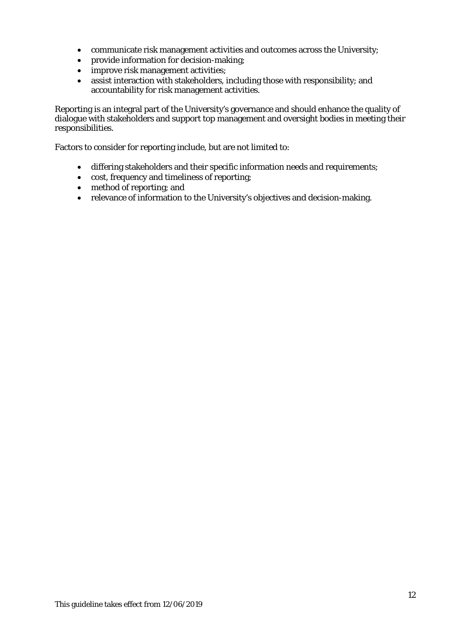- communicate risk management activities and outcomes across the University;
- provide information for decision-making;
- improve risk management activities;
- assist interaction with stakeholders, including those with responsibility; and accountability for risk management activities.

Reporting is an integral part of the University's governance and should enhance the quality of dialogue with stakeholders and support top management and oversight bodies in meeting their responsibilities.

Factors to consider for reporting include, but are not limited to:

- differing stakeholders and their specific information needs and requirements;
- cost, frequency and timeliness of reporting;
- method of reporting; and
- relevance of information to the University's objectives and decision-making.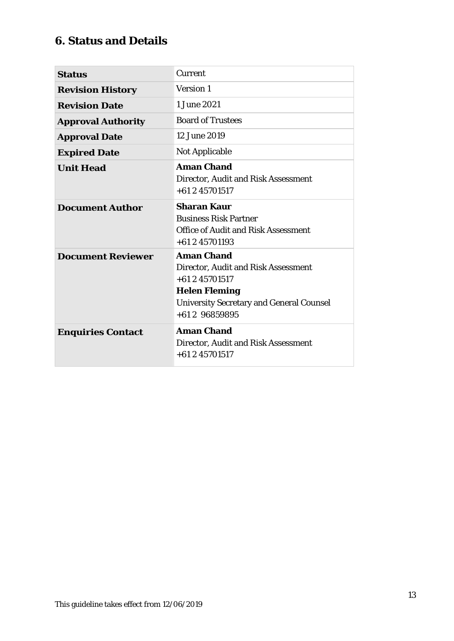## <span id="page-14-0"></span>**6. Status and Details**

| <b>Status</b>             | Current                                                                                                                                                                 |
|---------------------------|-------------------------------------------------------------------------------------------------------------------------------------------------------------------------|
| <b>Revision History</b>   | <b>Version 1</b>                                                                                                                                                        |
| <b>Revision Date</b>      | 1 June 2021                                                                                                                                                             |
| <b>Approval Authority</b> | <b>Board of Trustees</b>                                                                                                                                                |
| <b>Approval Date</b>      | 12 June 2019                                                                                                                                                            |
| <b>Expired Date</b>       | <b>Not Applicable</b>                                                                                                                                                   |
| <b>Unit Head</b>          | <b>Aman Chand</b><br>Director, Audit and Risk Assessment<br>$+61245701517$                                                                                              |
| <b>Document Author</b>    | <b>Sharan Kaur</b><br><b>Business Risk Partner</b><br><b>Office of Audit and Risk Assessment</b><br>$+61245701193$                                                      |
| <b>Document Reviewer</b>  | <b>Aman Chand</b><br>Director, Audit and Risk Assessment<br>$+61245701517$<br><b>Helen Fleming</b><br><b>University Secretary and General Counsel</b><br>$+61296859895$ |
| <b>Enquiries Contact</b>  | <b>Aman Chand</b><br>Director, Audit and Risk Assessment<br>$+61245701517$                                                                                              |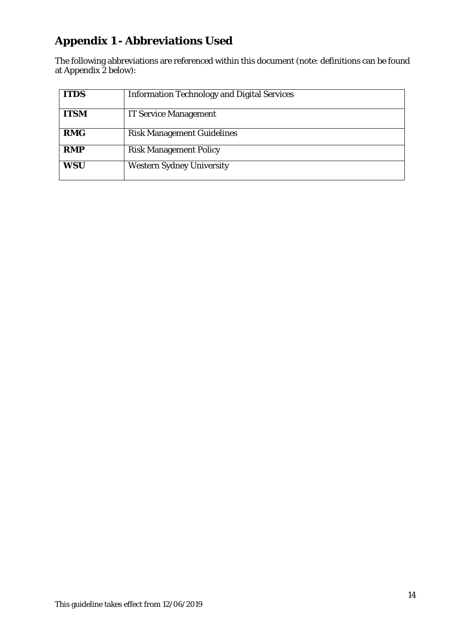## <span id="page-15-0"></span>**Appendix 1 - Abbreviations Used**

The following abbreviations are referenced within this document (note: definitions can be found at Appendix 2 below):

| <b>ITDS</b> | <b>Information Technology and Digital Services</b> |
|-------------|----------------------------------------------------|
| <b>ITSM</b> | <b>IT Service Management</b>                       |
| <b>RMG</b>  | <b>Risk Management Guidelines</b>                  |
| <b>RMP</b>  | <b>Risk Management Policy</b>                      |
| <b>WSU</b>  | <b>Western Sydney University</b>                   |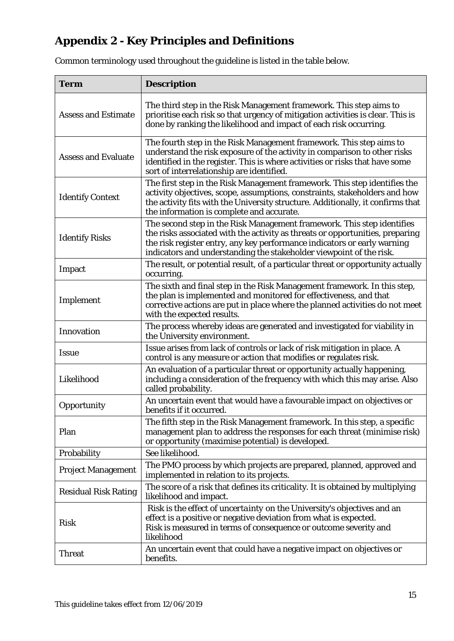# <span id="page-16-0"></span>**Appendix 2 - Key Principles and Definitions**

Common terminology used throughout the guideline is listed in the table below.

| <b>Term</b>                                                                                                                                                                                                                                                                                                        | <b>Description</b>                                                                                                                                                                                                                                                                                         |  |  |
|--------------------------------------------------------------------------------------------------------------------------------------------------------------------------------------------------------------------------------------------------------------------------------------------------------------------|------------------------------------------------------------------------------------------------------------------------------------------------------------------------------------------------------------------------------------------------------------------------------------------------------------|--|--|
| <b>Assess and Estimate</b>                                                                                                                                                                                                                                                                                         | The third step in the Risk Management framework. This step aims to<br>prioritise each risk so that urgency of mitigation activities is clear. This is<br>done by ranking the likelihood and impact of each risk occurring.                                                                                 |  |  |
| <b>Assess and Evaluate</b>                                                                                                                                                                                                                                                                                         | The fourth step in the Risk Management framework. This step aims to<br>understand the risk exposure of the activity in comparison to other risks<br>identified in the register. This is where activities or risks that have some<br>sort of interrelationship are identified.                              |  |  |
| The first step in the Risk Management framework. This step identifies the<br>activity objectives, scope, assumptions, constraints, stakeholders and how<br><b>Identify Context</b><br>the activity fits with the University structure. Additionally, it confirms that<br>the information is complete and accurate. |                                                                                                                                                                                                                                                                                                            |  |  |
| <b>Identify Risks</b>                                                                                                                                                                                                                                                                                              | The second step in the Risk Management framework. This step identifies<br>the risks associated with the activity as threats or opportunities, preparing<br>the risk register entry, any key performance indicators or early warning<br>indicators and understanding the stakeholder viewpoint of the risk. |  |  |
| Impact                                                                                                                                                                                                                                                                                                             | The result, or potential result, of a particular threat or opportunity actually<br>occurring.                                                                                                                                                                                                              |  |  |
| Implement                                                                                                                                                                                                                                                                                                          | The sixth and final step in the Risk Management framework. In this step,<br>the plan is implemented and monitored for effectiveness, and that<br>corrective actions are put in place where the planned activities do not meet<br>with the expected results.                                                |  |  |
| Innovation                                                                                                                                                                                                                                                                                                         | The process whereby ideas are generated and investigated for viability in<br>the University environment.                                                                                                                                                                                                   |  |  |
| <b>Issue</b>                                                                                                                                                                                                                                                                                                       | Issue arises from lack of controls or lack of risk mitigation in place. A<br>control is any measure or action that modifies or regulates risk.                                                                                                                                                             |  |  |
| Likelihood                                                                                                                                                                                                                                                                                                         | An evaluation of a particular threat or opportunity actually happening,<br>including a consideration of the frequency with which this may arise. Also<br>called probability.                                                                                                                               |  |  |
| Opportunity                                                                                                                                                                                                                                                                                                        | An uncertain event that would have a favourable impact on objectives or<br>benefits if it occurred.                                                                                                                                                                                                        |  |  |
| Plan                                                                                                                                                                                                                                                                                                               | The fifth step in the Risk Management framework. In this step, a specific<br>management plan to address the responses for each threat (minimise risk)<br>or opportunity (maximise potential) is developed.                                                                                                 |  |  |
| Probability                                                                                                                                                                                                                                                                                                        | See likelihood.                                                                                                                                                                                                                                                                                            |  |  |
| <b>Project Management</b>                                                                                                                                                                                                                                                                                          | The PMO process by which projects are prepared, planned, approved and<br>implemented in relation to its projects.                                                                                                                                                                                          |  |  |
| <b>Residual Risk Rating</b>                                                                                                                                                                                                                                                                                        | The score of a risk that defines its criticality. It is obtained by multiplying<br>likelihood and impact.                                                                                                                                                                                                  |  |  |
| <b>Risk</b>                                                                                                                                                                                                                                                                                                        | Risk is the <i>effect of uncertainty</i> on the University's objectives and an<br>effect is a positive or negative deviation from what is expected.<br>Risk is measured in terms of consequence or outcome severity and<br>likelihood                                                                      |  |  |
| <b>Threat</b>                                                                                                                                                                                                                                                                                                      | An uncertain event that could have a negative impact on objectives or<br>benefits.                                                                                                                                                                                                                         |  |  |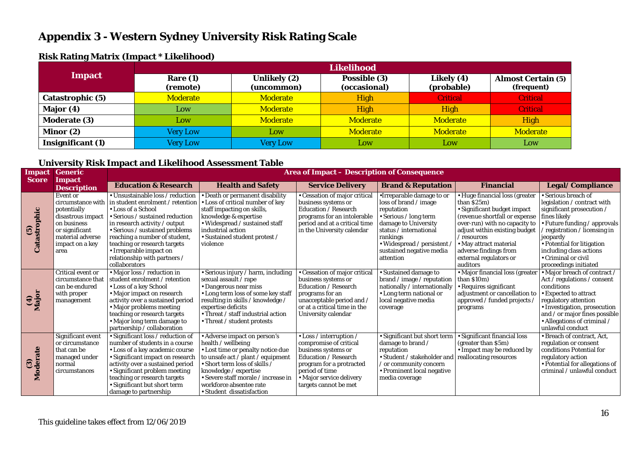## **Appendix 3 - Western Sydney University Risk Rating Scale**

| . .                 | <b>Likelihood</b>      |                            |                              |                          |                                         |  |
|---------------------|------------------------|----------------------------|------------------------------|--------------------------|-----------------------------------------|--|
| Impact              | Rare $(1)$<br>(remote) | Unlikely (2)<br>(uncommon) | Possible (3)<br>(occasional) | Likely (4)<br>(probable) | <b>Almost Certain (5)</b><br>(frequent) |  |
| Catastrophic (5)    | <b>Moderate</b>        | <b>Moderate</b>            | <b>High</b>                  | <b>Critical</b>          | <b>Critical</b>                         |  |
| Major (4)           | Low                    | <b>Moderate</b>            | High                         | High                     | <b>Critical</b>                         |  |
| <b>Moderate (3)</b> | Low                    | <b>Moderate</b>            | <b>Moderate</b>              | <b>Moderate</b>          | <b>High</b>                             |  |
| Minor (2)           | <b>Very Low</b>        | Low                        | <b>Moderate</b>              | <b>Moderate</b>          | <b>Moderate</b>                         |  |
| Insignificant (1)   | <b>Very Low</b>        | <b>Very Low</b>            | Low                          | Low                      | Low                                     |  |

#### **Risk Rating Matrix (Impact \* Likelihood)**

#### **University Risk Impact and Likelihood Assessment Table**

<span id="page-17-0"></span>

| <b>Impact</b><br><b>Score</b> | <b>Generic</b><br>Impact                                                                                                                          | <b>Area of Impact - Description of Consequence</b>                                                                                                                                                                                                                                                                                                         |                                                                                                                                                                                                                                                                                   |                                                                                                                                                                                                     |                                                                                                                                                                                                                                       |                                                                                                                                                                                                                                                                                             |                                                                                                                                                                                                                                                                                     |
|-------------------------------|---------------------------------------------------------------------------------------------------------------------------------------------------|------------------------------------------------------------------------------------------------------------------------------------------------------------------------------------------------------------------------------------------------------------------------------------------------------------------------------------------------------------|-----------------------------------------------------------------------------------------------------------------------------------------------------------------------------------------------------------------------------------------------------------------------------------|-----------------------------------------------------------------------------------------------------------------------------------------------------------------------------------------------------|---------------------------------------------------------------------------------------------------------------------------------------------------------------------------------------------------------------------------------------|---------------------------------------------------------------------------------------------------------------------------------------------------------------------------------------------------------------------------------------------------------------------------------------------|-------------------------------------------------------------------------------------------------------------------------------------------------------------------------------------------------------------------------------------------------------------------------------------|
|                               | <b>Description</b>                                                                                                                                | <b>Education &amp; Research</b>                                                                                                                                                                                                                                                                                                                            | <b>Health and Safety</b>                                                                                                                                                                                                                                                          | <b>Service Delivery</b>                                                                                                                                                                             | <b>Brand &amp; Reputation</b>                                                                                                                                                                                                         | <b>Financial</b>                                                                                                                                                                                                                                                                            | <b>Legal/Compliance</b>                                                                                                                                                                                                                                                             |
| (5)<br>strophic<br>්          | Event or<br>circumstance with<br>potentially<br>disastrous impact<br>on business<br>or significant<br>material adverse<br>impact on a key<br>area | • Unsustainable loss / reduction<br>in student enrolment / retention<br><b>Loss of a School</b><br>• Serious / sustained reduction<br>in research activity / output<br>$\bullet$ Serious / sustained problems<br>reaching a number of student,<br>teaching or research targets<br>• Irreparable impact on<br>relationship with partners /<br>collaborators | • Death or permanent disability<br>Loss of critical number of key<br>staff impacting on skills,<br>knowledge & expertise<br>• Widespread / sustained staff<br>industrial action<br>• Sustained student protest /<br>violence                                                      | • Cessation of major critical<br>business systems or<br><b>Education / Research</b><br>programs for an intolerable<br>period and at a critical time<br>in the University calendar                   | •Irreparable damage to or<br>loss of brand / image<br>reputation<br>$\cdot$ Serious / long term<br>damage to University<br>status / international<br>rankings<br>• Widespread / persistent /<br>sustained negative media<br>attention | • Huge financial loss (greater<br>than $$25m$ )<br>• Significant budget impact<br>(revenue shortfall or expense<br>over-run) with no capacity to<br>adjust within existing budget<br>$/$ resources<br>• May attract material<br>adverse findings from<br>external regulators or<br>auditors | • Serious breach of<br>legislation / contract with<br>significant prosecution /<br>fines likely<br>• Future funding / approvals<br>registration / licensing in<br>jeopardy<br>• Potential for litigation<br>including class actions<br>• Criminal or civil<br>proceedings initiated |
| $\frac{(4)}{Major}$           | Critical event or<br>circumstance that<br>can be endured<br>with proper<br>management                                                             | • Major loss / reduction in<br>student enrolment / retention<br>• Loss of a key School<br>• Major impact on research<br>activity over a sustained period<br>• Major problems meeting<br>teaching or research targets<br>• Major long term damage to<br>partnership / collaboration                                                                         | • Serious injury / harm, including<br>sexual assault / rape<br>• Dangerous near miss<br>• Long term loss of some key staff<br>resulting in skills / knowledge /<br>expertise deficits<br>• Threat / staff industrial action<br>• Threat / student protests                        | Cessation of major critical<br>business systems or<br>Education / Research<br>programs for an<br>unacceptable period and /<br>or at a critical time in the<br>University calendar                   | · Sustained damage to<br>brand / image / reputation $ $ than \$10m)<br>nationally / internationally<br>• Long term national or<br>local negative media<br>coverage                                                                    | · Major financial loss (greater<br>• Requires significant<br>adjustment or cancellation to<br>approved / funded projects /<br>programs                                                                                                                                                      | • Major breach of contract /<br>Act / regulations / consent<br>conditions<br>• Expected to attract<br>regulatory attention<br>· Investigation, prosecution<br>and / or major fines possible<br>• Allegations of criminal /<br>unlawful conduct                                      |
| $\odot$<br>РÅ                 | Significant event<br>or circumstance<br>that can be<br>managed under<br>normal<br>circumstances                                                   | • Significant loss / reduction of<br>number of students in a course<br>• Loss of a key academic course<br>• Significant impact on research<br>activity over a sustained period<br>• Significant problem meeting<br>teaching or research targets<br>• Significant but short term<br>damage to partnership                                                   | • Adverse impact on person's<br>health / wellbeing<br>Lost time or penalty notice due<br>to unsafe act / plant / equipment<br>Short term loss of skills /<br>knowledge / expertise<br>· Severe staff morale / increase in<br>workforce absentee rate<br>• Student dissatisfaction | • Loss / interruption /<br>compromise of critical<br>business systems or<br>Education / Research<br>program for a protracted<br>period of time<br>• Major service delivery<br>targets cannot be met | • Significant but short term<br>damage to brand /<br>reputation<br>• Student / stakeholder and reallocating resources<br>or community concern<br>• Prominent local negative<br>media coverage                                         | · Significant financial loss<br>(greater than \$5m)<br>• Impact may be reduced by                                                                                                                                                                                                           | · Breach of contract, Act,<br>regulation or consent<br>conditions Potential for<br>regulatory action<br>• Potential for allegations of<br>criminal / unlawful conduct                                                                                                               |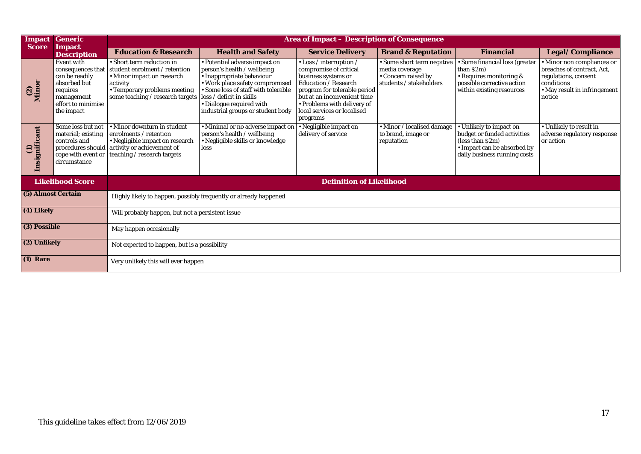| <b>Impact</b><br><b>Score</b> | <b>Generic</b>                                                                                                                         | <b>Area of Impact - Description of Consequence</b>                                                                                                                       |                                                                                                                                                                                                                                                              |                                                                                                                                                                                                                                                  |                                                                                                |                                                                                                                                           |                                                                                                                                          |
|-------------------------------|----------------------------------------------------------------------------------------------------------------------------------------|--------------------------------------------------------------------------------------------------------------------------------------------------------------------------|--------------------------------------------------------------------------------------------------------------------------------------------------------------------------------------------------------------------------------------------------------------|--------------------------------------------------------------------------------------------------------------------------------------------------------------------------------------------------------------------------------------------------|------------------------------------------------------------------------------------------------|-------------------------------------------------------------------------------------------------------------------------------------------|------------------------------------------------------------------------------------------------------------------------------------------|
|                               | <b>Impact</b><br><b>Description</b>                                                                                                    | <b>Education &amp; Research</b>                                                                                                                                          | <b>Health and Safety</b>                                                                                                                                                                                                                                     | <b>Service Delivery</b>                                                                                                                                                                                                                          | <b>Brand &amp; Reputation</b>                                                                  | <b>Financial</b>                                                                                                                          | Legal/Compliance                                                                                                                         |
| Minor<br>$\mathbf{Q}$         | <b>Event with</b><br>consequences that<br>can be readily<br>absorbed but<br>requires<br>management<br>effort to minimise<br>the impact | • Short term reduction in<br>student enrolment / retention<br>• Minor impact on research<br>activity<br>• Temporary problems meeting<br>some teaching / research targets | • Potential adverse impact on<br>person's health / wellbeing<br>· Inappropriate behaviour<br>. Work place safety compromised<br>Some loss of staff with tolerable<br>loss / deficit in skills<br>Dialogue required with<br>industrial groups or student body | • Loss / interruption /<br>compromise of critical<br>business systems or<br><b>Education / Research</b><br>program for tolerable period<br>but at an inconvenient time<br>• Problems with delivery of<br>local services or localised<br>programs | • Some short term negative<br>media coverage<br>• Concern raised by<br>students / stakeholders | • Some financial loss (greater<br>than S2m)<br>• Requires monitoring &<br>possible corrective action<br>within existing resources         | • Minor non compliances or<br>breaches of contract. Act.<br>regulations, consent<br>conditions<br>• May result in infringement<br>notice |
| Insignificant<br>Ξ            | Some loss but not<br>material; existing<br>controls and<br>procedures should<br>cope with event or<br>circumstance                     | • Minor downturn in student<br>enrolments / retention<br>• Negligible impact on research<br>activity or achievement of<br>teaching / research targets                    | · Minimal or no adverse impact on<br>person's health / wellbeing<br>• Negligible skills or knowledge<br>loss                                                                                                                                                 | • Negligible impact on<br>delivery of service                                                                                                                                                                                                    | · Minor / localised damage<br>to brand, image or<br>reputation                                 | • Unlikely to impact on<br>budget or funded activities<br>(less than \$2m)<br>• Impact can be absorbed by<br>daily business running costs | • Unlikely to result in<br>adverse regulatory response<br>or action                                                                      |
|                               | <b>Likelihood Score</b>                                                                                                                | <b>Definition of Likelihood</b>                                                                                                                                          |                                                                                                                                                                                                                                                              |                                                                                                                                                                                                                                                  |                                                                                                |                                                                                                                                           |                                                                                                                                          |
| (5) Almost Certain            |                                                                                                                                        | Highly likely to happen, possibly frequently or already happened                                                                                                         |                                                                                                                                                                                                                                                              |                                                                                                                                                                                                                                                  |                                                                                                |                                                                                                                                           |                                                                                                                                          |
| (4) Likely                    |                                                                                                                                        | Will probably happen, but not a persistent issue                                                                                                                         |                                                                                                                                                                                                                                                              |                                                                                                                                                                                                                                                  |                                                                                                |                                                                                                                                           |                                                                                                                                          |
| (3) Possible                  | May happen occasionally                                                                                                                |                                                                                                                                                                          |                                                                                                                                                                                                                                                              |                                                                                                                                                                                                                                                  |                                                                                                |                                                                                                                                           |                                                                                                                                          |
|                               | (2) Unlikely<br>Not expected to happen, but is a possibility                                                                           |                                                                                                                                                                          |                                                                                                                                                                                                                                                              |                                                                                                                                                                                                                                                  |                                                                                                |                                                                                                                                           |                                                                                                                                          |
| $(1)$ Rare                    |                                                                                                                                        | Very unlikely this will ever happen                                                                                                                                      |                                                                                                                                                                                                                                                              |                                                                                                                                                                                                                                                  |                                                                                                |                                                                                                                                           |                                                                                                                                          |